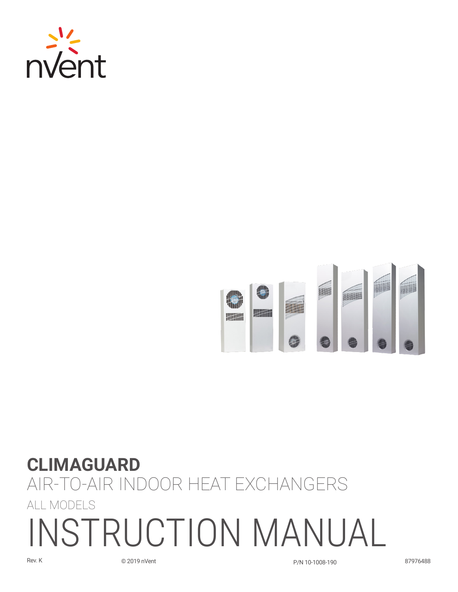



# **CLIMAGUARD** Air-To-Air Indoor Heat Exchangers All Models INSTRUCTION MANUAL

Rev. K © 2019 nVent P/N 10-1008-190 87976488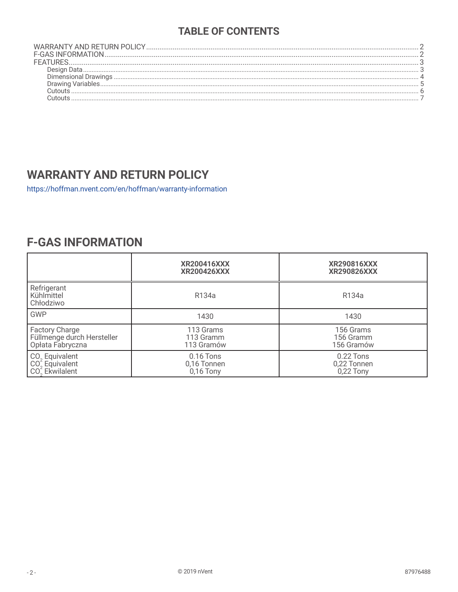## **TABLE OF CONTENTS**

## **WARRANTY AND RETURN POLICY**

https://hoffman.nvent.com/en/hoffman/warranty-information

# **F-GAS INFORMATION**

|                                                                               | <b>XR200416XXX</b><br><b>XR200426XXX</b>  | <b>XR290816XXX</b><br><b>XR290826XXX</b>  |
|-------------------------------------------------------------------------------|-------------------------------------------|-------------------------------------------|
| Refrigerant<br>Kühlmittel<br>Chłodziwo                                        | R134a                                     | R134a                                     |
| <b>GWP</b>                                                                    | 1430                                      | 1430                                      |
| Factory Charge<br>Füllmenge durch Hersteller<br>Opłata Fabryczna              | 113 Grams<br>113 Gramm<br>113 Gramów      | 156 Grams<br>156 Gramm<br>156 Gramów      |
| CO <sub>2</sub> Equivalent<br>CO <sub>2</sub> Equivalent<br>$CO22$ Ekwilalent | $0.16$ Tons<br>0,16 Tonnen<br>$0,16$ Tony | $0.22$ Tons<br>0,22 Tonnen<br>$0,22$ Tony |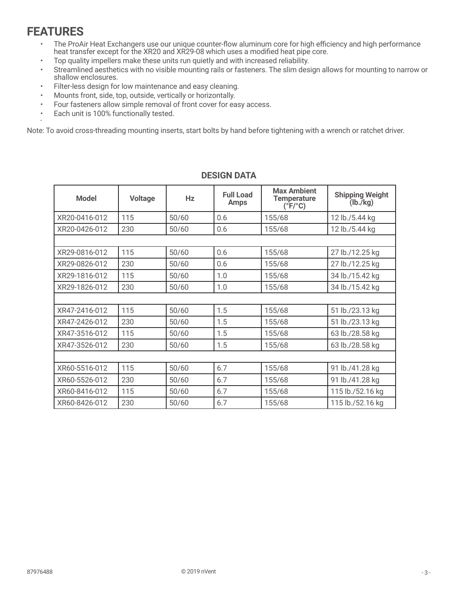# <span id="page-2-0"></span>**FEATURES**

•

- The ProAir Heat Exchangers use our unique counter-flow aluminum core for high efficiency and high performance heat transfer except for the XR20 and XR29-08 which uses a modified heat pipe core.
- Top quality impellers make these units run quietly and with increased reliability.
- Streamlined aesthetics with no visible mounting rails or fasteners. The slim design allows for mounting to narrow or shallow enclosures.
- Filter-less design for low maintenance and easy cleaning.
- Mounts front, side, top, outside, vertically or horizontally.
- Four fasteners allow simple removal of front cover for easy access.
- Each unit is 100% functionally tested.

Note: To avoid cross-threading mounting inserts, start bolts by hand before tightening with a wrench or ratchet driver.

| <b>Model</b>  | <b>Voltage</b> | Hz    | <b>Full Load</b><br><b>Amps</b> | <b>Max Ambient</b><br><b>Temperature</b><br>$(^{\circ}F/^{\circ}C)$ | <b>Shipping Weight</b><br>(lb./kg) |  |  |
|---------------|----------------|-------|---------------------------------|---------------------------------------------------------------------|------------------------------------|--|--|
| XR20-0416-012 | 115            | 50/60 | 0.6                             | 155/68                                                              | 12 lb./5.44 kg                     |  |  |
| XR20-0426-012 | 230            | 50/60 | 0.6                             | 155/68                                                              | 12 lb./5.44 kg                     |  |  |
|               |                |       |                                 |                                                                     |                                    |  |  |
| XR29-0816-012 | 115            | 50/60 | 0.6                             | 155/68                                                              | 27 lb./12.25 kg                    |  |  |
| XR29-0826-012 | 230            | 50/60 | 0.6                             | 155/68                                                              | 27 lb./12.25 kg                    |  |  |
| XR29-1816-012 | 115            | 50/60 | 1.0                             | 155/68                                                              | 34 lb./15.42 kg                    |  |  |
| XR29-1826-012 | 230            | 50/60 | 1.0                             | 155/68                                                              | 34 lb./15.42 kg                    |  |  |
|               |                |       |                                 |                                                                     |                                    |  |  |
| XR47-2416-012 | 115            | 50/60 | 1.5                             | 155/68                                                              | 51 lb./23.13 kg                    |  |  |
| XR47-2426-012 | 230            | 50/60 | 1.5                             | 155/68                                                              | 51 lb./23.13 kg                    |  |  |
| XR47-3516-012 | 115            | 50/60 | 1.5                             | 155/68                                                              | 63 lb./28.58 kg                    |  |  |
| XR47-3526-012 | 230            | 50/60 | 1.5                             | 155/68                                                              | 63 lb./28.58 kg                    |  |  |
|               |                |       |                                 |                                                                     |                                    |  |  |
| XR60-5516-012 | 115            | 50/60 | 6.7                             | 155/68                                                              | 91 lb./41.28 kg                    |  |  |
| XR60-5526-012 | 230            | 50/60 | 6.7                             | 155/68                                                              | 91 lb./41.28 kg                    |  |  |
| XR60-8416-012 | 115            | 50/60 | 6.7                             | 155/68                                                              | 115 lb./52.16 kg                   |  |  |
| XR60-8426-012 | 230            | 50/60 | 6.7                             | 155/68                                                              | 115 lb./52.16 kg                   |  |  |

#### **DESIGN DATA**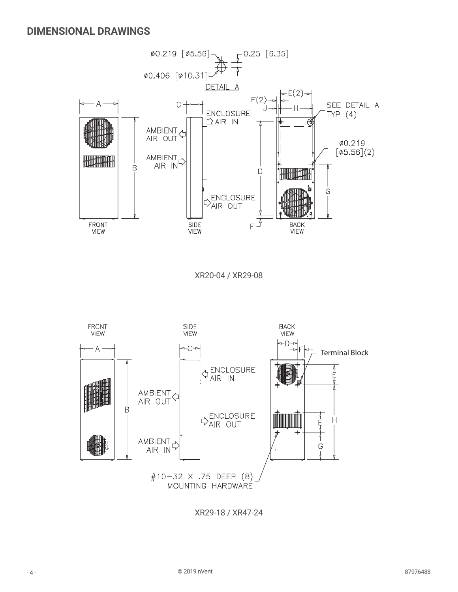<span id="page-3-0"></span>

XR20-04 / XR29-08



XR29-18 / XR47-24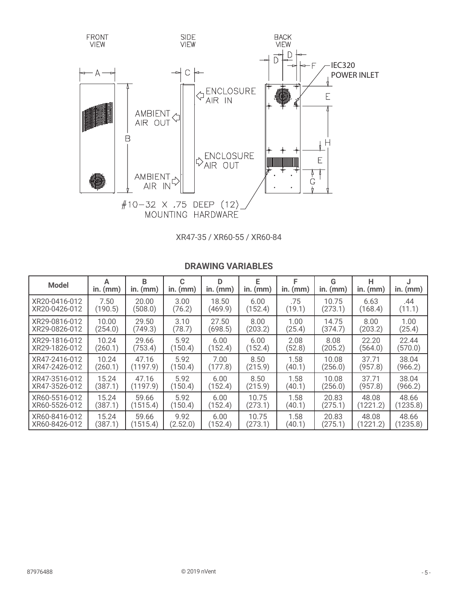<span id="page-4-0"></span>

XR47-35 / XR60-55 / XR60-84

| <b>Model</b>  | А<br>in. $(mm)$ | R<br>in. $(mm)$ | C<br>$in.$ ( $mm$ ) | D<br>in. $(mm)$ | E<br>in. $(mm)$ | F<br>$in.$ ( $mm$ ) | G<br>in. $(mm)$ | н<br>in. $(mm)$ | $in.$ ( $mm$ ) |
|---------------|-----------------|-----------------|---------------------|-----------------|-----------------|---------------------|-----------------|-----------------|----------------|
| XR20-0416-012 | 7.50            | 20.00           | 3.00                | 18.50           | 6.00            | .75                 | 10.75           | 6.63            | .44            |
| XR20-0426-012 | (190.5)         | (508.0)         | (76.2)              | (469.9)         | (152.4)         | (19.1)              | (273.1)         | (168.4)         | (11.1)         |
| XR29-0816-012 | 10.00           | 29.50           | 3.10                | 27.50           | 8.00            | 1.00                | 14.75           | 8.00            | 1.00           |
| XR29-0826-012 | (254.0)         | (749.3)         | (78.7)              | (698.5)         | (203.2)         | (25.4)              | (374.7)         | (203.2)         | (25.4)         |
| XR29-1816-012 | 10.24           | 29.66           | 5.92                | 6.00            | 6.00            | 2.08                | 8.08            | 22.20           | 22.44          |
| XR29-1826-012 | (260.1)         | (753.4)         | (150.4)             | (152.4)         | (152.4)         | (52.8)              | (205.2)         | (564.0)         | (570.0)        |
| XR47-2416-012 | 10.24           | 47.16           | 5.92                | 7.00            | 8.50            | 1.58                | 10.08           | 37.71           | 38.04          |
| XR47-2426-012 | (260.1)         | (1197.9)        | (150.4)             | (177.8)         | (215.9)         | (40.1)              | (256.0)         | (957.8)         | (966.2)        |
| XR47-3516-012 | 15.24           | 47.16           | 5.92                | 6.00            | 8.50            | 1.58                | 10.08           | 37.71           | 38.04          |
| XR47-3526-012 | (387.1)         | (1197.9)        | (150.4)             | (152.4)         | (215.9)         | (40.1)              | (256.0)         | (957.8)         | (966.2)        |
| XR60-5516-012 | 15.24           | 59.66           | 5.92                | 6.00            | 10.75           | 1.58                | 20.83           | 48.08           | 48.66          |
| XR60-5526-012 | (387.1)         | (1515.4)        | (150.4)             | (152.4)         | (273.1)         | (40.1)              | (275.1)         | (1221.2)        | (1235.8)       |
| XR60-8416-012 | 15.24           | 59.66           | 9.92                | 6.00            | 10.75           | 1.58                | 20.83           | 48.08           | 48.66          |
| XR60-8426-012 | (387.1)         | (1515.4)        | (2.52.0)            | (152.4)         | (273.1)         | (40.1)              | (275.1)         | (1221.2)        | (1235.8)       |

#### **DRAWING VARIABLES**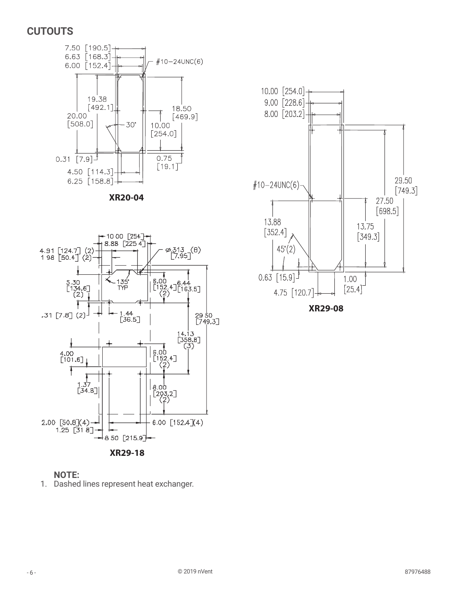## <span id="page-5-0"></span>**CUTOUTS**



**XR20-04**





1. Dashed lines represent heat exchanger.



**XR29-08**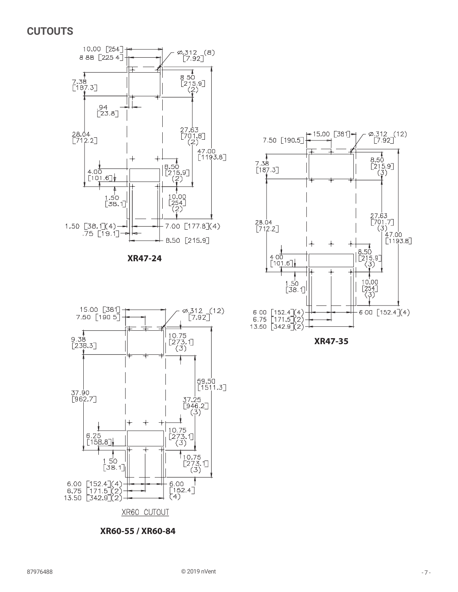#### <span id="page-6-0"></span>**CUTOUTS**



**XR47-24**



**XR60-55 / XR60-84**



**XR47-35**